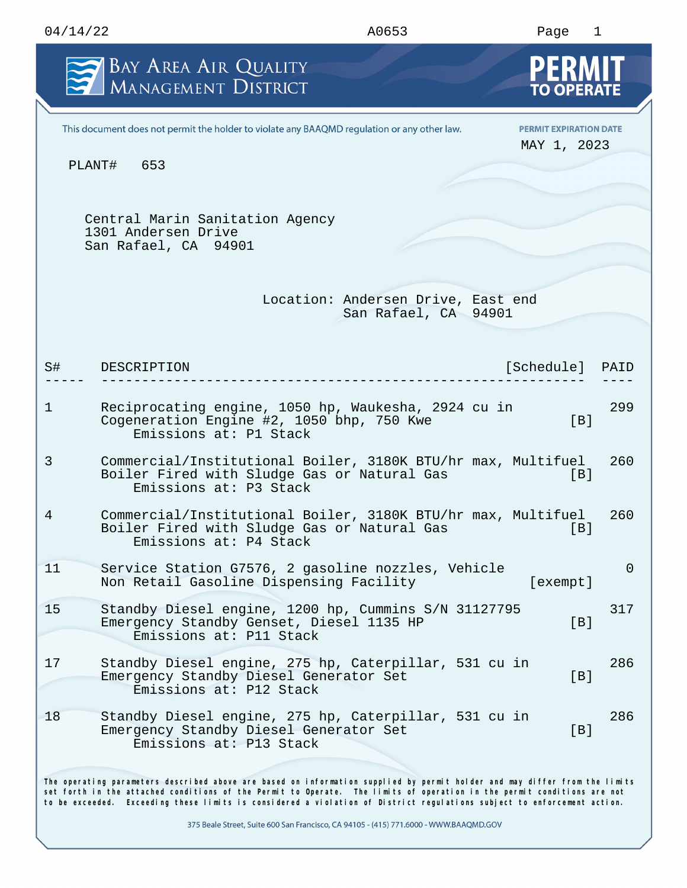| 04/14/22    |                                                                                                                                                                                                                                                                                                                                                                                  | A0653                                                      | Page                                         | $\mathbf{1}$   |
|-------------|----------------------------------------------------------------------------------------------------------------------------------------------------------------------------------------------------------------------------------------------------------------------------------------------------------------------------------------------------------------------------------|------------------------------------------------------------|----------------------------------------------|----------------|
|             | BAY AREA AIR QUALITY<br>MANAGEMENT DISTRICT                                                                                                                                                                                                                                                                                                                                      |                                                            | <b>PERMIT</b>                                |                |
|             | This document does not permit the holder to violate any BAAQMD regulation or any other law.                                                                                                                                                                                                                                                                                      |                                                            | <b>PERMIT EXPIRATION DATE</b><br>MAY 1, 2023 |                |
|             | PLANT#<br>653                                                                                                                                                                                                                                                                                                                                                                    |                                                            |                                              |                |
|             | Central Marin Sanitation Agency<br>1301 Andersen Drive<br>San Rafael, CA 94901                                                                                                                                                                                                                                                                                                   |                                                            |                                              |                |
|             |                                                                                                                                                                                                                                                                                                                                                                                  | Location: Andersen Drive, East end<br>San Rafael, CA 94901 |                                              |                |
| S#          | DESCRIPTION                                                                                                                                                                                                                                                                                                                                                                      |                                                            | [Schedule]                                   | PAID           |
| $\mathbf 1$ | Reciprocating engine, 1050 hp, Waukesha, 2924 cu in<br>Cogeneration Engine #2, 1050 bhp, 750 Kwe<br>Emissions at: P1 Stack                                                                                                                                                                                                                                                       |                                                            | [ <sub>B</sub> ]                             | 299            |
| 3           | Commercial/Institutional Boiler, 3180K BTU/hr max, Multifuel<br>Boiler Fired with Sludge Gas or Natural Gas<br>Emissions at: P3 Stack                                                                                                                                                                                                                                            |                                                            | [B]                                          | 260            |
| 4           | Commercial/Institutional Boiler, 3180K BTU/hr max, Multifuel<br>Boiler Fired with Sludge Gas or Natural Gas<br>Emissions at: P4 Stack                                                                                                                                                                                                                                            |                                                            | [B]                                          | 260            |
| 11          | Service Station G7576, 2 gasoline nozzles, Vehicle<br>Non Retail Gasoline Dispensing Facility                                                                                                                                                                                                                                                                                    |                                                            | [exempt]                                     | $\overline{0}$ |
| 15          | Standby Diesel engine, 1200 hp, Cummins S/N 31127795<br>Emergency Standby Genset, Diesel 1135 HP<br>Emissions at: P11 Stack                                                                                                                                                                                                                                                      |                                                            | [B]                                          | 317            |
| 17          | Standby Diesel engine, 275 hp, Caterpillar, 531 cu in<br>Emergency Standby Diesel Generator Set<br>Emissions at: P12 Stack                                                                                                                                                                                                                                                       |                                                            | [B]                                          | 286            |
| 18          | Standby Diesel engine, 275 hp, Caterpillar, 531 cu in<br>Emergency Standby Diesel Generator Set<br>Emissions at: P13 Stack                                                                                                                                                                                                                                                       |                                                            | [B]                                          | 286            |
|             | The operating parameters described above are based on information supplied by permit holder and may differ from the limits<br>set forth in the attached conditions of the Permit to Operate. The limits of operation in the permit conditions are not<br>to be exceeded. Exceeding these limits is considered a violation of District regulations subject to enforcement action. |                                                            |                                              |                |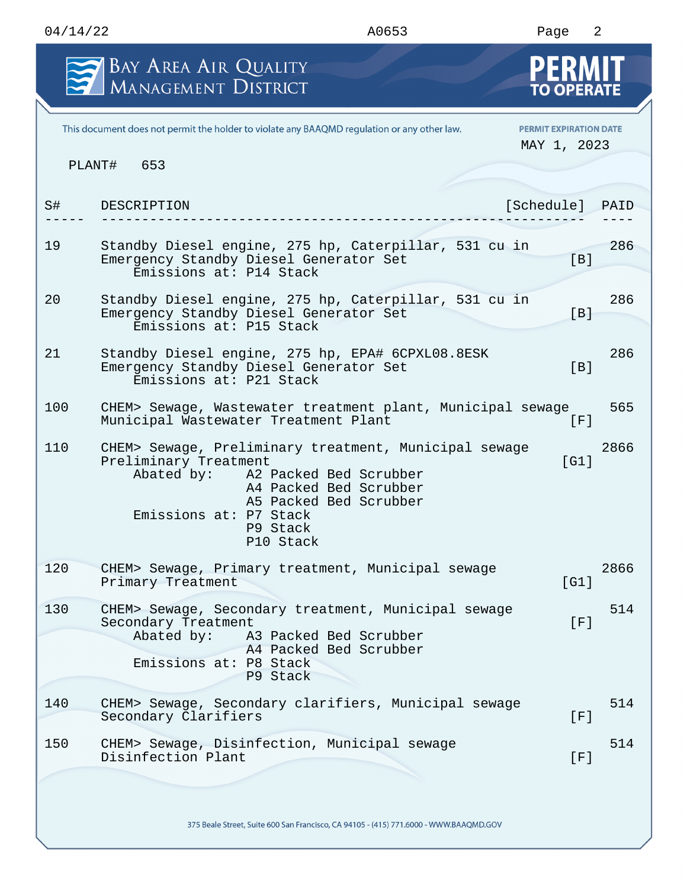|     | BAY AREA AIR QUALITY<br>MANAGEMENT DISTRICT                                                                                                                                                                                | <b>TO OPERATE</b>                            |      |
|-----|----------------------------------------------------------------------------------------------------------------------------------------------------------------------------------------------------------------------------|----------------------------------------------|------|
|     | This document does not permit the holder to violate any BAAQMD regulation or any other law.                                                                                                                                | <b>PERMIT EXPIRATION DATE</b><br>MAY 1, 2023 |      |
|     | PLANT# 653                                                                                                                                                                                                                 |                                              |      |
| S#  | DESCRIPTION                                                                                                                                                                                                                | [Schedule]                                   | PAID |
| 19  | Standby Diesel engine, 275 hp, Caterpillar, 531 cu in<br>Emergency Standby Diesel Generator Set<br>Emissions at: P14 Stack                                                                                                 | [B]                                          | 286  |
| 20  | Standby Diesel engine, 275 hp, Caterpillar, 531 cu in<br>Emergency Standby Diesel Generator Set<br>Emissions at: P15 Stack                                                                                                 | [B]                                          | 286  |
| 21  | Standby Diesel engine, 275 hp, EPA# 6CPXL08.8ESK<br>Emergency Standby Diesel Generator Set<br>Emissions at: P21 Stack                                                                                                      | [B]                                          | 286  |
| 100 | CHEM> Sewage, Wastewater treatment plant, Municipal sewage<br>Municipal Wastewater Treatment Plant                                                                                                                         | [F]                                          | 565  |
| 110 | CHEM> Sewage, Preliminary treatment, Municipal sewage<br>Preliminary Treatment<br>Abated by: A2 Packed Bed Scrubber<br>A4 Packed Bed Scrubber<br>A5 Packed Bed Scrubber<br>Emissions at: P7 Stack<br>P9 Stack<br>P10 Stack | [G1]                                         | 2866 |
| 120 | CHEM> Sewage, Primary treatment, Municipal sewage<br>Primary Treatment                                                                                                                                                     | [G1]                                         | 2866 |
| 130 | CHEM> Sewage, Secondary treatment, Municipal sewage<br>Secondary Treatment<br>Abated by:<br>A3 Packed Bed Scrubber<br>A4 Packed Bed Scrubber<br>Emissions at: P8 Stack<br>P9 Stack                                         | [F]                                          | 514  |
| 140 | CHEM> Sewage, Secondary clarifiers, Municipal sewage<br>Secondary Clarifiers                                                                                                                                               | [F]                                          | 514  |
| 150 | CHEM> Sewage, Disinfection, Municipal sewage<br>Disinfection Plant                                                                                                                                                         | [F]                                          | 514  |
|     |                                                                                                                                                                                                                            |                                              |      |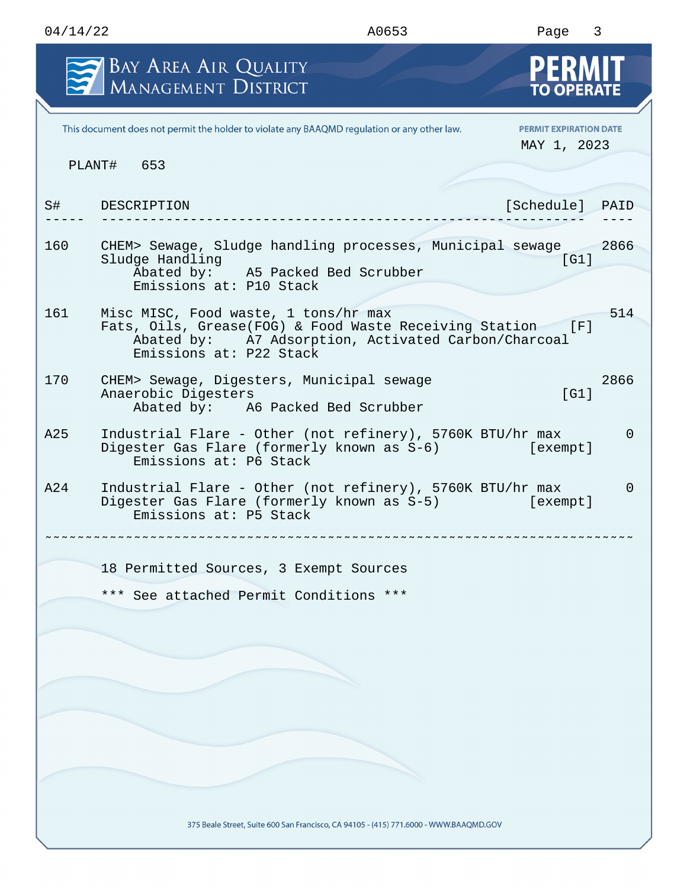|     | <b>BAY AREA AIR QUALITY</b><br>MANAGEMENT DISTRICT                                                                                                                               | PERM<br><b>TO OPERATE</b>                    |      |
|-----|----------------------------------------------------------------------------------------------------------------------------------------------------------------------------------|----------------------------------------------|------|
|     | This document does not permit the holder to violate any BAAQMD regulation or any other law.                                                                                      | <b>PERMIT EXPIRATION DATE</b><br>MAY 1, 2023 |      |
|     | PLANT# 653                                                                                                                                                                       |                                              |      |
| S#  | DESCRIPTION                                                                                                                                                                      | [Schedule]                                   | PAID |
| 160 | CHEM> Sewage, Sludge handling processes, Municipal sewage<br>Sludge Handling<br>Abated by: A5 Packed Bed Scrubber<br>Emissions at: P10 Stack                                     | [G1]                                         | 2866 |
| 161 | Misc MISC, Food waste, 1 tons/hr max<br>Fats, Oils, Grease(FOG) & Food Waste Receiving Station<br>Abated by: A7 Adsorption, Activated Carbon/Charcoal<br>Emissions at: P22 Stack | [F]                                          | 514  |
| 170 | CHEM> Sewage, Digesters, Municipal sewage<br>Anaerobic Digesters<br>Abated by: A6 Packed Bed Scrubber                                                                            | [G1]                                         | 2866 |
| A25 | Industrial Flare - Other (not refinery), 5760K BTU/hr max<br>Digester Gas Flare (formerly known as S-6)<br>Emissions at: P6 Stack                                                | [exempt]                                     | 0    |
| A24 | Industrial Flare - Other (not refinery), 5760K BTU/hr max<br>Digester Gas Flare (formerly known as S-5)<br>Emissions at: P5 Stack                                                | [exempt]                                     | 0    |
|     | 18 Permitted Sources, 3 Exempt Sources                                                                                                                                           |                                              |      |
|     | See attached Permit Conditions ***<br>$***$                                                                                                                                      |                                              |      |
|     |                                                                                                                                                                                  |                                              |      |
|     |                                                                                                                                                                                  |                                              |      |
|     | 375 Beale Street, Suite 600 San Francisco, CA 94105 - (415) 771.6000 - WWW.BAAQMD.GOV                                                                                            |                                              |      |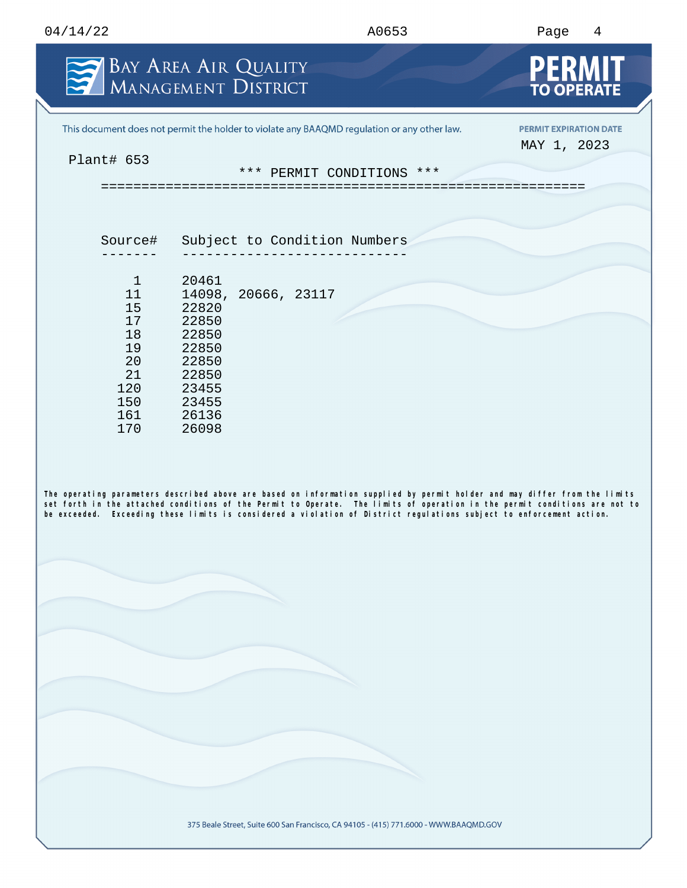| 04/14/22<br>the contract of the contract of the contract of the contract of the contract of the contract of the contract of | A0653<br>. | Paqe<br>Λ |
|-----------------------------------------------------------------------------------------------------------------------------|------------|-----------|
|                                                                                                                             |            |           |

|                                            | BAY AREA AIR QUALITY<br>MANAGEMENT DISTRICT                                                                                                                                                                                                                                                                                                                                      | <b>TO OPERATE</b>             |
|--------------------------------------------|----------------------------------------------------------------------------------------------------------------------------------------------------------------------------------------------------------------------------------------------------------------------------------------------------------------------------------------------------------------------------------|-------------------------------|
|                                            | This document does not permit the holder to violate any BAAQMD regulation or any other law.                                                                                                                                                                                                                                                                                      | <b>PERMIT EXPIRATION DATE</b> |
| Plant# 653                                 | *** PERMIT CONDITIONS ***                                                                                                                                                                                                                                                                                                                                                        | MAY 1, 2023                   |
|                                            |                                                                                                                                                                                                                                                                                                                                                                                  |                               |
| Source#                                    | Subject to Condition Numbers                                                                                                                                                                                                                                                                                                                                                     |                               |
| $\mathbf{1}$<br>11<br>15<br>17<br>18<br>19 | 20461<br>14098, 20666, 23117<br>22820<br>22850<br>22850<br>22850                                                                                                                                                                                                                                                                                                                 |                               |
| 20<br>21<br>120<br>150<br>161<br>170       | 22850<br>22850<br>23455<br>23455<br>26136<br>26098                                                                                                                                                                                                                                                                                                                               |                               |
|                                            | The operating parameters described above are based on information supplied by permit holder and may differ from the limits<br>set forth in the attached conditions of the Permit to Operate. The limits of operation in the permit conditions are not to<br>be exceeded. Exceeding these limits is considered a violation of District regulations subject to enforcement action. |                               |
|                                            |                                                                                                                                                                                                                                                                                                                                                                                  |                               |
|                                            |                                                                                                                                                                                                                                                                                                                                                                                  |                               |
|                                            |                                                                                                                                                                                                                                                                                                                                                                                  |                               |
|                                            |                                                                                                                                                                                                                                                                                                                                                                                  |                               |
|                                            |                                                                                                                                                                                                                                                                                                                                                                                  |                               |
|                                            | 375 Beale Street, Suite 600 San Francisco, CA 94105 - (415) 771.6000 - WWW.BAAQMD.GOV                                                                                                                                                                                                                                                                                            |                               |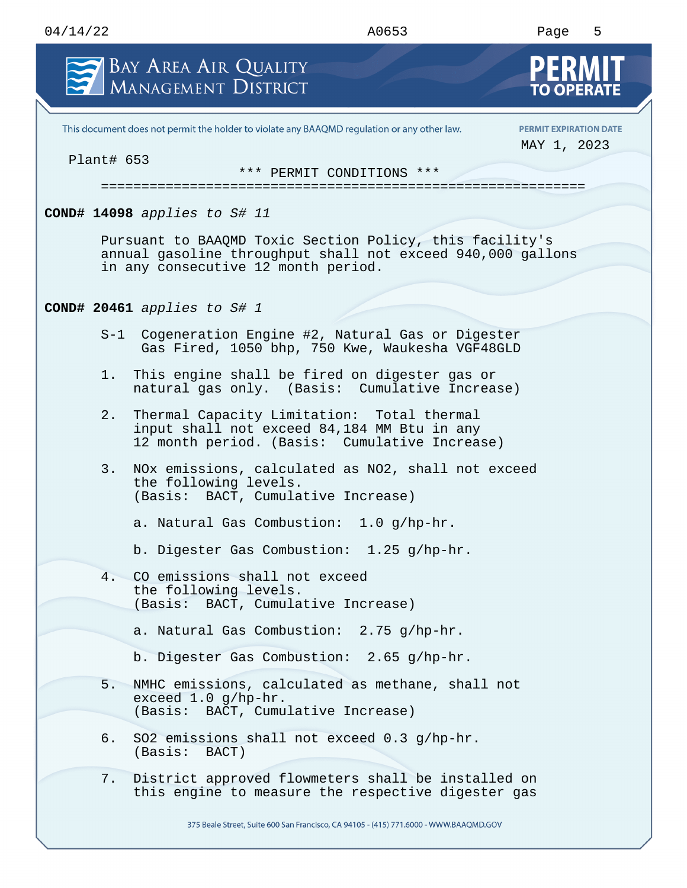| BAY AREA AIR QUALITY<br>MANAGEMENT DISTRICT                  |                                                                                                                                            | PERM<br><b>TO OPERATE</b>                    |
|--------------------------------------------------------------|--------------------------------------------------------------------------------------------------------------------------------------------|----------------------------------------------|
|                                                              | This document does not permit the holder to violate any BAAQMD regulation or any other law.                                                | <b>PERMIT EXPIRATION DATE</b><br>MAY 1, 2023 |
| Plant# 653                                                   | *** PERMIT CONDITIONS ***                                                                                                                  |                                              |
| COND# 14098 applies to $S#$ 11                               |                                                                                                                                            |                                              |
| in any consecutive 12 month period.                          | Pursuant to BAAQMD Toxic Section Policy, this facility's<br>annual gasoline throughput shall not exceed 940,000 gallons                    |                                              |
| COND# 20461 applies to $St$ 1                                |                                                                                                                                            |                                              |
| $S-1$                                                        | Cogeneration Engine #2, Natural Gas or Digester<br>Gas Fired, 1050 bhp, 750 Kwe, Waukesha VGF48GLD                                         |                                              |
| 1.                                                           | This engine shall be fired on digester gas or<br>natural gas only. (Basis: Cumulative Increase)                                            |                                              |
| 2.                                                           | Thermal Capacity Limitation: Total thermal<br>input shall not exceed 84,184 MM Btu in any<br>12 month period. (Basis: Cumulative Increase) |                                              |
| 3.<br>the following levels.                                  | NOx emissions, calculated as NO2, shall not exceed<br>(Basis: BACT, Cumulative Increase)                                                   |                                              |
|                                                              | a. Natural Gas Combustion: 1.0 q/hp-hr.                                                                                                    |                                              |
|                                                              | b. Digester Gas Combustion: 1.25 g/hp-hr.                                                                                                  |                                              |
| CO emissions shall not exceed<br>4.<br>the following levels. | (Basis: BACT, Cumulative Increase)                                                                                                         |                                              |
|                                                              | a. Natural Gas Combustion: 2.75 q/hp-hr.                                                                                                   |                                              |
|                                                              | b. Digester Gas Combustion: 2.65 g/hp-hr.                                                                                                  |                                              |
| 5.<br>exceed 1.0 g/hp-hr.                                    | NMHC emissions, calculated as methane, shall not<br>(Basis: BACT, Cumulative Increase)                                                     |                                              |
| б.<br>(Basis: BACT)                                          | SO2 emissions shall not exceed 0.3 g/hp-hr.                                                                                                |                                              |
| 7.                                                           | District approved flowmeters shall be installed on<br>this engine to measure the respective digester gas                                   |                                              |
|                                                              | 375 Beale Street, Suite 600 San Francisco, CA 94105 - (415) 771.6000 - WWW.BAAQMD.GOV                                                      |                                              |

04/14/22 A0653 Page 5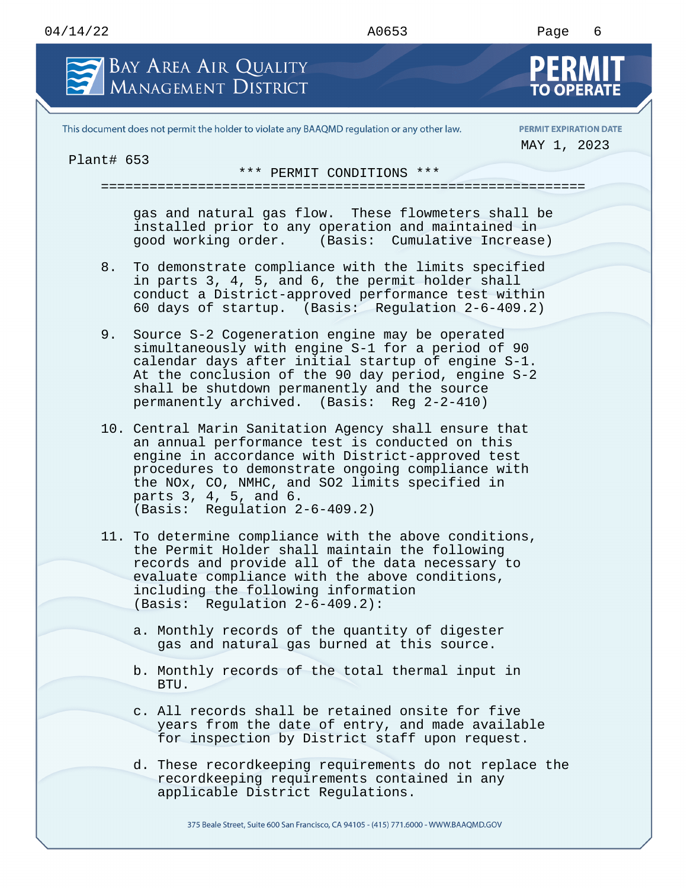## 04/14/22 A0653 Page 6 BAY AREA AIR QUALITY **MANAGEMENT DISTRICT** This document does not permit the holder to violate any BAAQMD regulation or any other law. **PERMIT EXPIRATION DATE** MAY 1, 2023 Plant# 653 \*\*\* PERMIT CONDITIONS \*\*\* ============================================================ gas and natural gas flow. These flowmeters shall be installed prior to any operation and maintained in good working order. (Basis: Cumulative Increase) 8. To demonstrate compliance with the limits specified in parts 3, 4, 5, and 6, the permit holder shall conduct a District-approved performance test within 60 days of startup. (Basis: Regulation 2-6-409.2) 9. Source S-2 Cogeneration engine may be operated simultaneously with engine S-1 for a period of 90 calendar days after initial startup of engine S-1. At the conclusion of the 90 day period, engine S-2 shall be shutdown permanently and the source permanently archived. (Basis: Reg 2-2-410) 10. Central Marin Sanitation Agency shall ensure that an annual performance test is conducted on this engine in accordance with District-approved test procedures to demonstrate ongoing compliance with the NOx, CO, NMHC, and SO2 limits specified in parts 3, 4, 5, and 6. (Basis: Regulation 2-6-409.2) 11. To determine compliance with the above conditions, the Permit Holder shall maintain the following

- records and provide all of the data necessary to evaluate compliance with the above conditions, including the following information (Basis: Regulation 2-6-409.2):
	- a. Monthly records of the quantity of digester gas and natural gas burned at this source.
	- b. Monthly records of the total thermal input in BTU.
	- c. All records shall be retained onsite for five years from the date of entry, and made available for inspection by District staff upon request.
	- d. These recordkeeping requirements do not replace the recordkeeping requirements contained in any applicable District Regulations.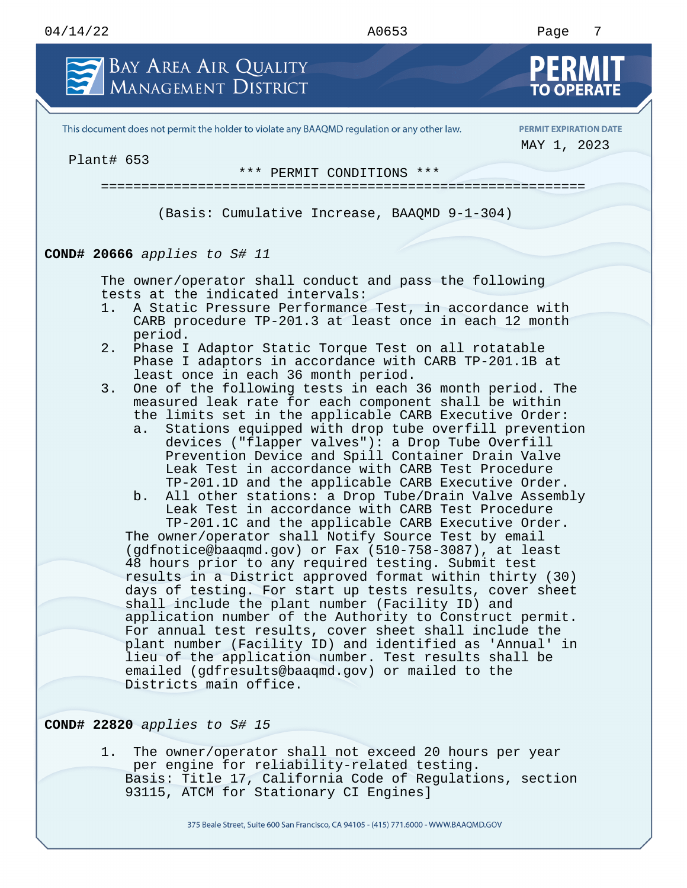

This document does not permit the holder to violate any BAAQMD regulation or any other law.

**PERMIT EXPIRATION DATE** MAY 1, 2023

Plant# 653

\*\*\* PERMIT CONDITIONS \*\*\*

============================================================

(Basis: Cumulative Increase, BAAQMD 9-1-304)

## **COND# 20666** *applies to S# 11*

The owner/operator shall conduct and pass the following tests at the indicated intervals:

- 1. A Static Pressure Performance Test, in accordance with CARB procedure TP-201.3 at least once in each 12 month period.
- 2. Phase I Adaptor Static Torque Test on all rotatable Phase I adaptors in accordance with CARB TP-201.1B at least once in each 36 month period.
- 3. One of the following tests in each 36 month period. The measured leak rate for each component shall be within the limits set in the applicable CARB Executive Order:
	- a. Stations equipped with drop tube overfill prevention devices ("flapper valves"): a Drop Tube Overfill Prevention Device and Spill Container Drain Valve Leak Test in accordance with CARB Test Procedure TP-201.1D and the applicable CARB Executive Order.
	- b. All other stations: a Drop Tube/Drain Valve Assembly Leak Test in accordance with CARB Test Procedure

TP-201.1C and the applicable CARB Executive Order. The owner/operator shall Notify Source Test by email (gdfnotice@baaqmd.gov) or Fax (510-758-3087), at least 48 hours prior to any required testing. Submit test results in a District approved format within thirty (30) days of testing. For start up tests results, cover sheet shall include the plant number (Facility ID) and application number of the Authority to Construct permit. For annual test results, cover sheet shall include the plant number (Facility ID) and identified as 'Annual' in lieu of the application number. Test results shall be emailed (gdfresults@baaqmd.gov) or mailed to the Districts main office.

**COND# 22820** *applies to S# 15*

1. The owner/operator shall not exceed 20 hours per year per engine for reliability-related testing. Basis: Title 17, California Code of Regulations, section 93115, ATCM for Stationary CI Engines]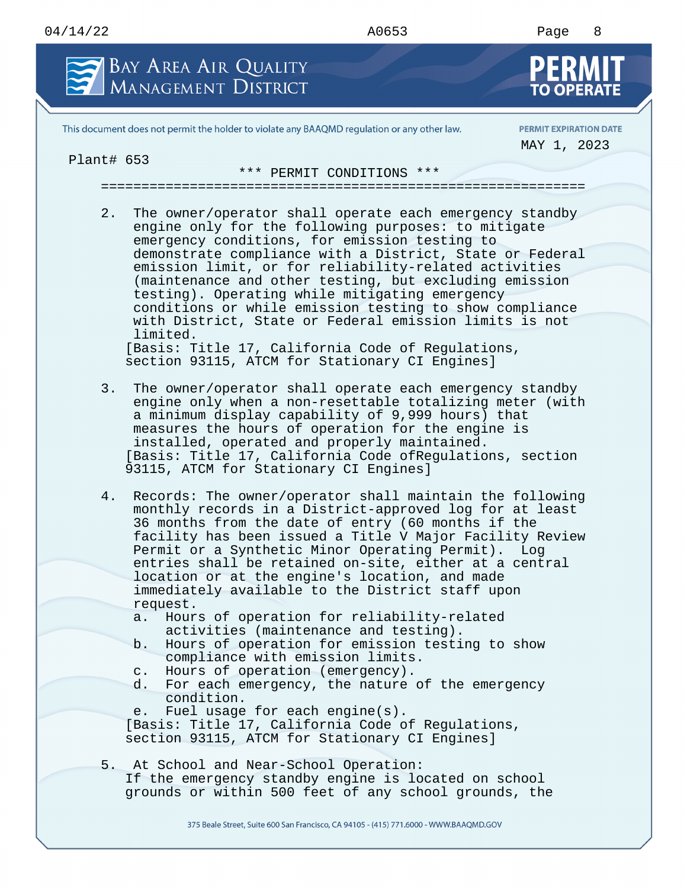## 04/14/22 A0653 Page 8 BAY AREA AIR QUALITY **MANAGEMENT DISTRICT** This document does not permit the holder to violate any BAAQMD regulation or any other law. **PERMIT EXPIRATION DATE** MAY 1, 2023 Plant# 653 \*\*\* PERMIT CONDITIONS \*\*\* ============================================================ 2. The owner/operator shall operate each emergency standby engine only for the following purposes: to mitigate emergency conditions, for emission testing to demonstrate compliance with a District, State or Federal emission limit, or for reliability-related activities (maintenance and other testing, but excluding emission testing). Operating while mitigating emergency conditions or while emission testing to show compliance with District, State or Federal emission limits is not limited. [Basis: Title 17, California Code of Regulations, section 93115, ATCM for Stationary CI Engines] 3. The owner/operator shall operate each emergency standby engine only when a non-resettable totalizing meter (with a minimum display capability of 9,999 hours) that measures the hours of operation for the engine is installed, operated and properly maintained. [Basis: Title 17, California Code ofRegulations, section 93115, ATCM for Stationary CI Engines] 4. Records: The owner/operator shall maintain the following monthly records in a District-approved log for at least 36 months from the date of entry (60 months if the facility has been issued a Title V Major Facility Review Permit or a Synthetic Minor Operating Permit). Log entries shall be retained on-site, either at a central location or at the engine's location, and made immediately available to the District staff upon request.

- a. Hours of operation for reliability-related activities (maintenance and testing).
- b. Hours of operation for emission testing to show compliance with emission limits.
- c. Hours of operation (emergency).
- d. For each emergency, the nature of the emergency condition.
- e. Fuel usage for each engine(s).

[Basis: Title 17, California Code of Regulations, section 93115, ATCM for Stationary CI Engines]

5. At School and Near-School Operation: If the emergency standby engine is located on school grounds or within 500 feet of any school grounds, the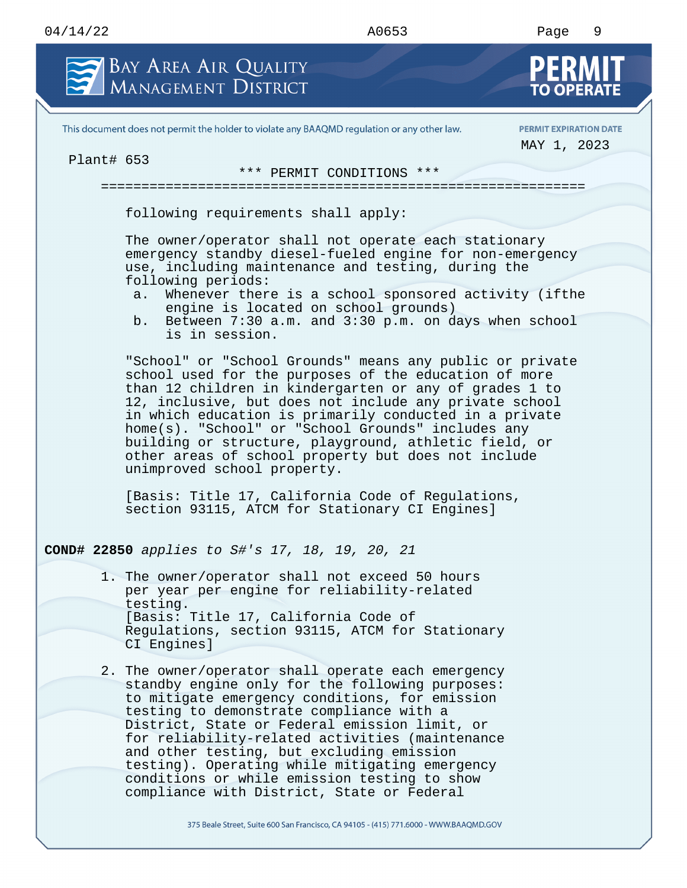## 04/14/22 A0653 Page 9 BAY AREA AIR QUALITY **MANAGEMENT DISTRICT** This document does not permit the holder to violate any BAAQMD regulation or any other law. **PERMIT EXPIRATION DATE** MAY 1, 2023 Plant# 653 \*\*\* PERMIT CONDITIONS \*\*\* ============================================================ following requirements shall apply: The owner/operator shall not operate each stationary emergency standby diesel-fueled engine for non-emergency use, including maintenance and testing, during the following periods: a. Whenever there is a school sponsored activity (ifthe engine is located on school grounds) b. Between 7:30 a.m. and 3:30 p.m. on days when school is in session. "School" or "School Grounds" means any public or private school used for the purposes of the education of more than 12 children in kindergarten or any of grades 1 to 12, inclusive, but does not include any private school in which education is primarily conducted in a private home(s). "School" or "School Grounds" includes any building or structure, playground, athletic field, or other areas of school property but does not include unimproved school property. [Basis: Title 17, California Code of Regulations, section 93115, ATCM for Stationary CI Engines] **COND# 22850** *applies to S#'s 17, 18, 19, 20, 21* 1. The owner/operator shall not exceed 50 hours

- per year per engine for reliability-related testing. [Basis: Title 17, California Code of Regulations, section 93115, ATCM for Stationary CI Engines]
- 2. The owner/operator shall operate each emergency standby engine only for the following purposes: to mitigate emergency conditions, for emission testing to demonstrate compliance with a District, State or Federal emission limit, or for reliability-related activities (maintenance and other testing, but excluding emission testing). Operating while mitigating emergency conditions or while emission testing to show compliance with District, State or Federal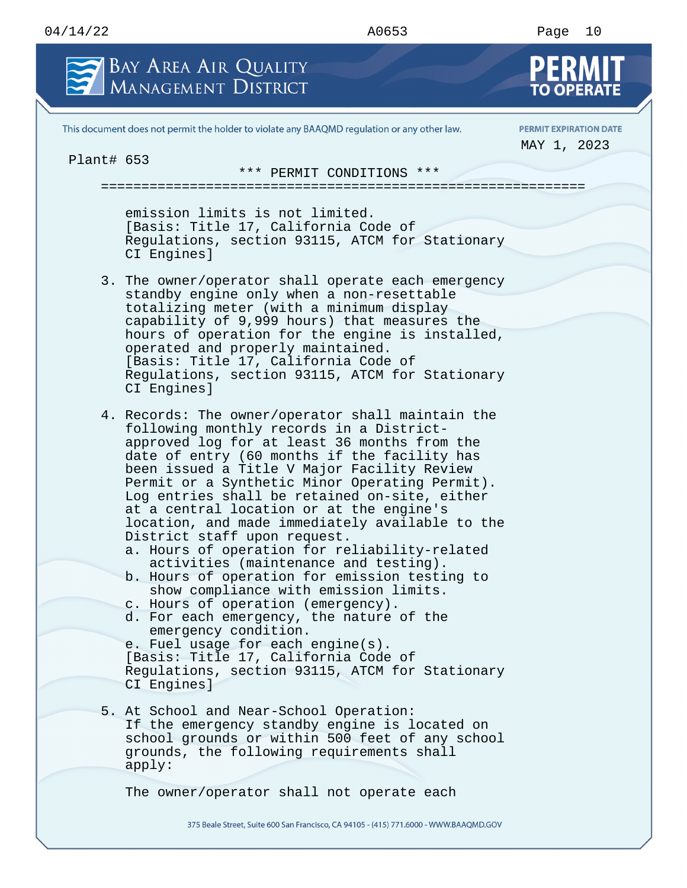

This document does not permit the holder to violate any BAAQMD regulation or any other law.

**PERMIT EXPIRATION DATE** MAY 1, 2023

Plant# 653

\*\*\* PERMIT CONDITIONS \*\*\* ============================================================

emission limits is not limited. [Basis: Title 17, California Code of Regulations, section 93115, ATCM for Stationary CI Engines]

- 3. The owner/operator shall operate each emergency standby engine only when a non-resettable totalizing meter (with a minimum display capability of 9,999 hours) that measures the hours of operation for the engine is installed, operated and properly maintained. [Basis: Title 17, California Code of Regulations, section 93115, ATCM for Stationary CI Engines]
- 4. Records: The owner/operator shall maintain the following monthly records in a Districtapproved log for at least 36 months from the date of entry (60 months if the facility has been issued a Title V Major Facility Review Permit or a Synthetic Minor Operating Permit). Log entries shall be retained on-site, either at a central location or at the engine's location, and made immediately available to the District staff upon request.
	- a. Hours of operation for reliability-related activities (maintenance and testing).
	- b. Hours of operation for emission testing to show compliance with emission limits.
	- c. Hours of operation (emergency).
	- d. For each emergency, the nature of the emergency condition.

e. Fuel usage for each engine(s). [Basis: Title 17, California Code of Regulations, section 93115, ATCM for Stationary CI Engines]

5. At School and Near-School Operation: If the emergency standby engine is located on school grounds or within 500 feet of any school grounds, the following requirements shall apply:

The owner/operator shall not operate each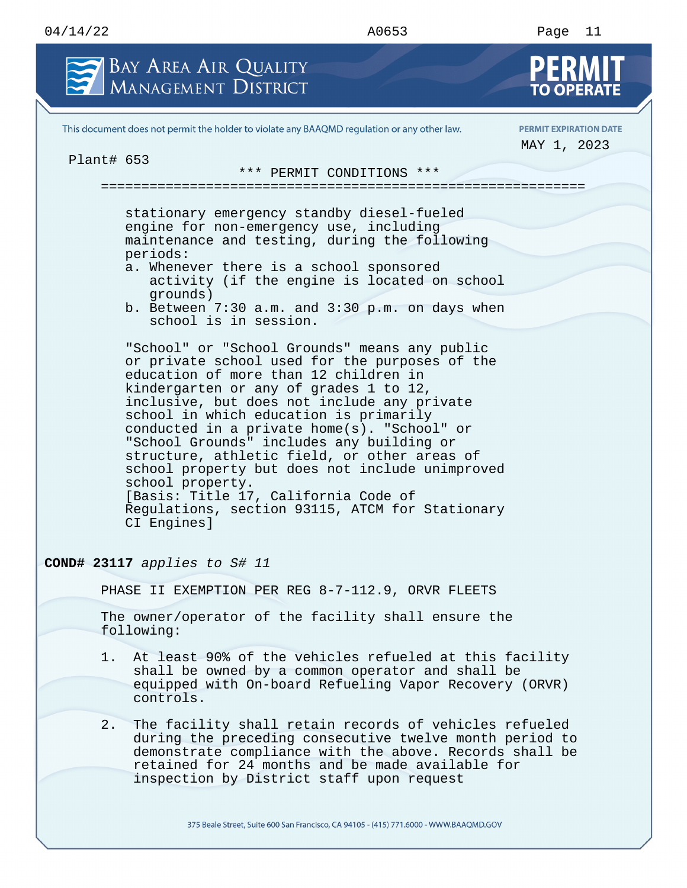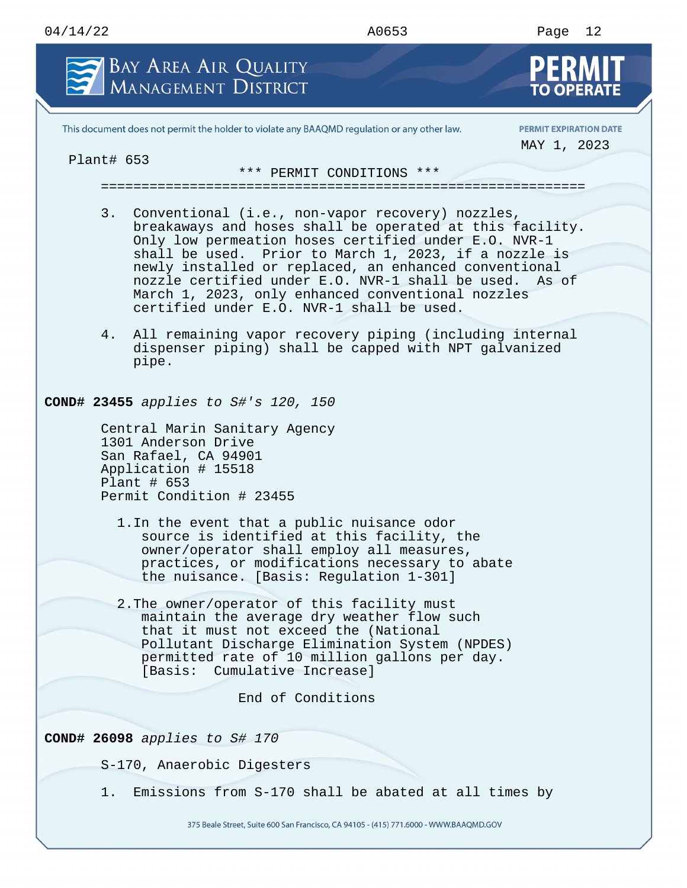| 04/14/22 | A0653 | Page |
|----------|-------|------|
|          | ___   | ΤS   |

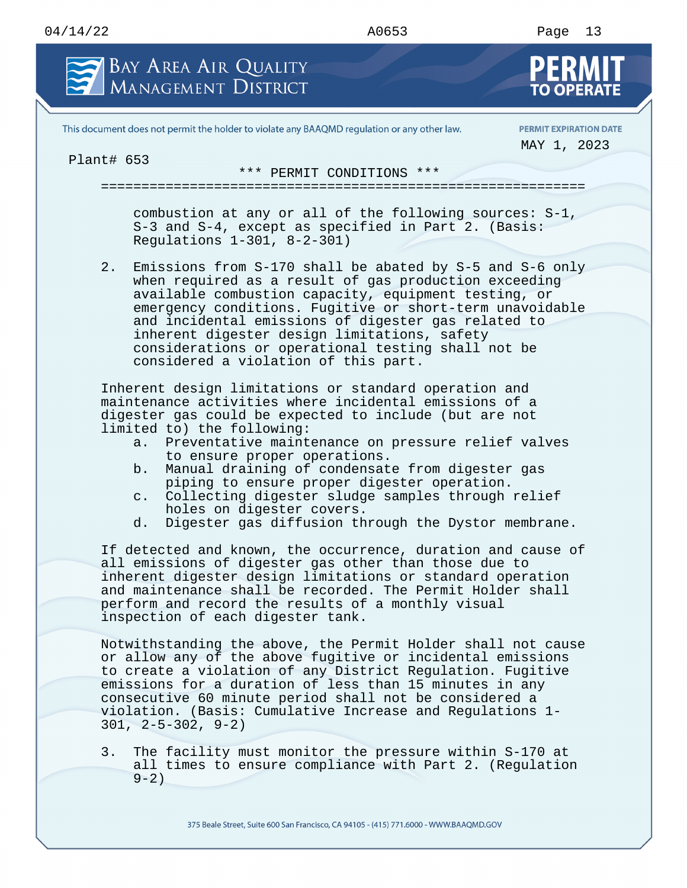Plant# 653

## 04/14/22 A0653 Page 13 BAY AREA AIR QUALITY **MANAGEMENT DISTRICT** This document does not permit the holder to violate any BAAQMD regulation or any other law. **PERMIT EXPIRATION DATE** MAY 1, 2023 \*\*\* PERMIT CONDITIONS \*\*\* ============================================================

combustion at any or all of the following sources: S-1, S-3 and S-4, except as specified in Part 2. (Basis: Regulations 1-301, 8-2-301)

2. Emissions from S-170 shall be abated by S-5 and S-6 only when required as a result of gas production exceeding available combustion capacity, equipment testing, or emergency conditions. Fugitive or short-term unavoidable and incidental emissions of digester gas related to inherent digester design limitations, safety considerations or operational testing shall not be considered a violation of this part.

Inherent design limitations or standard operation and maintenance activities where incidental emissions of a digester gas could be expected to include (but are not limited to) the following:

- a. Preventative maintenance on pressure relief valves to ensure proper operations.
- b. Manual draining of condensate from digester gas piping to ensure proper digester operation.
- c. Collecting digester sludge samples through relief holes on digester covers.
- d. Digester gas diffusion through the Dystor membrane.

If detected and known, the occurrence, duration and cause of all emissions of digester gas other than those due to inherent digester design limitations or standard operation and maintenance shall be recorded. The Permit Holder shall perform and record the results of a monthly visual inspection of each digester tank.

Notwithstanding the above, the Permit Holder shall not cause or allow any of the above fugitive or incidental emissions to create a violation of any District Regulation. Fugitive emissions for a duration of less than 15 minutes in any consecutive 60 minute period shall not be considered a violation. (Basis: Cumulative Increase and Regulations 1- 301, 2-5-302, 9-2)

3. The facility must monitor the pressure within S-170 at all times to ensure compliance with Part 2. (Regulation  $9 - 2)$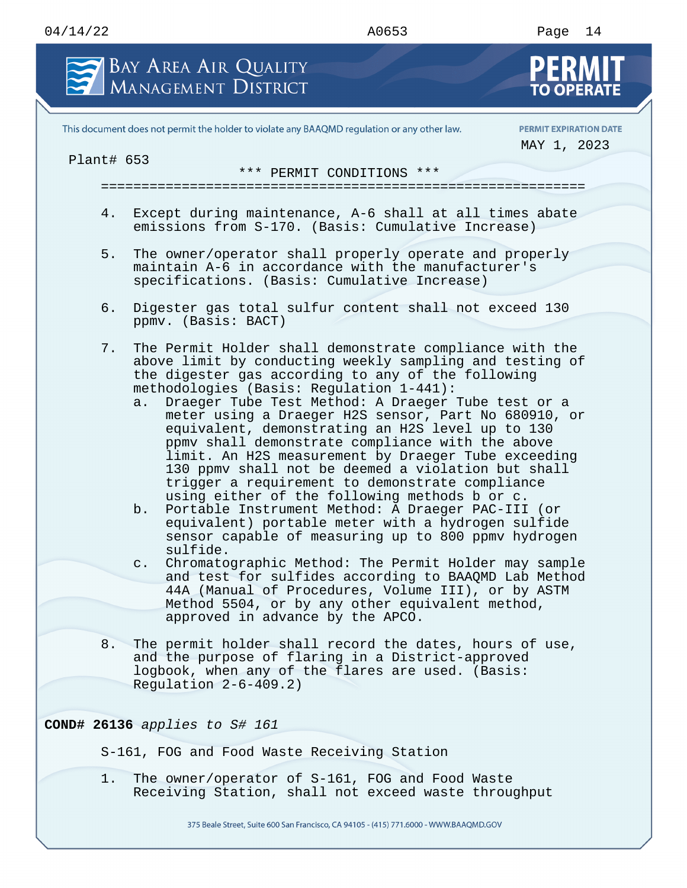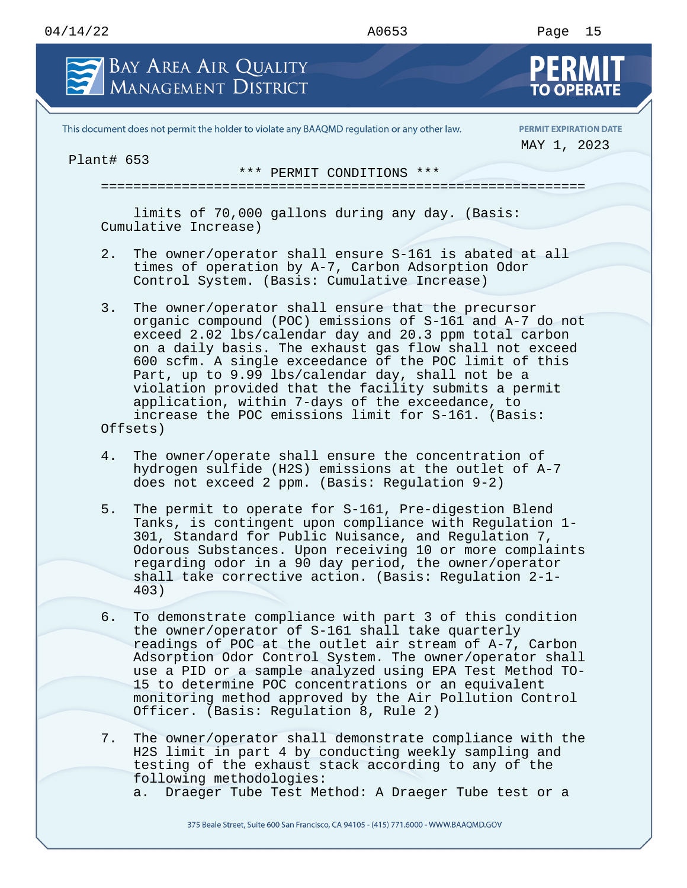

This document does not permit the holder to violate any BAAQMD regulation or any other law.

**PERMIT EXPIRATION DATE** MAY 1, 2023

Plant# 653

\*\*\* PERMIT CONDITIONS \*\*\*

============================================================

limits of 70,000 gallons during any day. (Basis: Cumulative Increase)

- 2. The owner/operator shall ensure S-161 is abated at all times of operation by A-7, Carbon Adsorption Odor Control System. (Basis: Cumulative Increase)
- 3. The owner/operator shall ensure that the precursor organic compound (POC) emissions of S-161 and A-7 do not exceed 2.02 lbs/calendar day and 20.3 ppm total carbon on a daily basis. The exhaust gas flow shall not exceed 600 scfm. A single exceedance of the POC limit of this Part, up to 9.99 lbs/calendar day, shall not be a violation provided that the facility submits a permit application, within 7-days of the exceedance, to increase the POC emissions limit for S-161. (Basis: Offsets)
- 4. The owner/operate shall ensure the concentration of hydrogen sulfide (H2S) emissions at the outlet of A-7 does not exceed 2 ppm. (Basis: Regulation 9-2)
- 5. The permit to operate for S-161, Pre-digestion Blend Tanks, is contingent upon compliance with Regulation 1- 301, Standard for Public Nuisance, and Regulation 7, Odorous Substances. Upon receiving 10 or more complaints regarding odor in a 90 day period, the owner/operator shall take corrective action. (Basis: Regulation 2-1- 403)
- 6. To demonstrate compliance with part 3 of this condition the owner/operator of S-161 shall take quarterly readings of POC at the outlet air stream of A-7, Carbon Adsorption Odor Control System. The owner/operator shall use a PID or a sample analyzed using EPA Test Method TO-15 to determine POC concentrations or an equivalent monitoring method approved by the Air Pollution Control Officer. (Basis: Regulation 8, Rule 2)
- 7. The owner/operator shall demonstrate compliance with the H2S limit in part 4 by conducting weekly sampling and testing of the exhaust stack according to any of the following methodologies:
	- a. Draeger Tube Test Method: A Draeger Tube test or a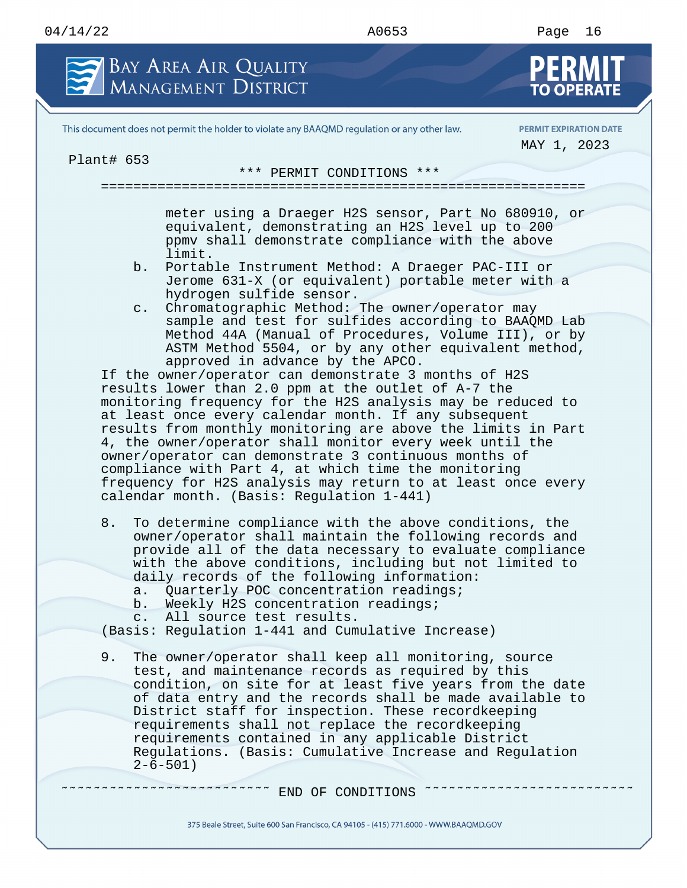

This document does not permit the holder to violate any BAAQMD regulation or any other law.

**PERMIT EXPIRATION DATE** MAY 1, 2023

Plant# 653

\*\*\* PERMIT CONDITIONS \*\*\*

============================================================

meter using a Draeger H2S sensor, Part No 680910, or equivalent, demonstrating an H2S level up to 200 ppmv shall demonstrate compliance with the above limit.

- b. Portable Instrument Method: A Draeger PAC-III or Jerome 631-X (or equivalent) portable meter with a hydrogen sulfide sensor.
- c. Chromatographic Method: The owner/operator may sample and test for sulfides according to BAAQMD Lab Method 44A (Manual of Procedures, Volume III), or by ASTM Method 5504, or by any other equivalent method, approved in advance by the APCO.

If the owner/operator can demonstrate 3 months of H2S results lower than 2.0 ppm at the outlet of A-7 the monitoring frequency for the H2S analysis may be reduced to at least once every calendar month. If any subsequent results from monthly monitoring are above the limits in Part 4, the owner/operator shall monitor every week until the owner/operator can demonstrate 3 continuous months of compliance with Part 4, at which time the monitoring frequency for H2S analysis may return to at least once every calendar month. (Basis: Regulation 1-441)

- 8. To determine compliance with the above conditions, the owner/operator shall maintain the following records and provide all of the data necessary to evaluate compliance with the above conditions, including but not limited to daily records of the following information:
	- a. Quarterly POC concentration readings;
	- b. Weekly H2S concentration readings;
	- c. All source test results.

(Basis: Regulation 1-441 and Cumulative Increase)

9. The owner/operator shall keep all monitoring, source test, and maintenance records as required by this condition, on site for at least five years from the date of data entry and the records shall be made available to District staff for inspection. These recordkeeping requirements shall not replace the recordkeeping requirements contained in any applicable District Regulations. (Basis: Cumulative Increase and Regulation  $2-6-501$ )

˜˜˜˜˜˜˜˜˜˜˜˜˜˜˜˜˜˜˜˜˜˜˜˜˜˜ END OF CONDITIONS ˜˜˜˜˜˜˜˜˜˜˜˜˜˜˜˜˜˜˜˜˜˜˜˜˜˜